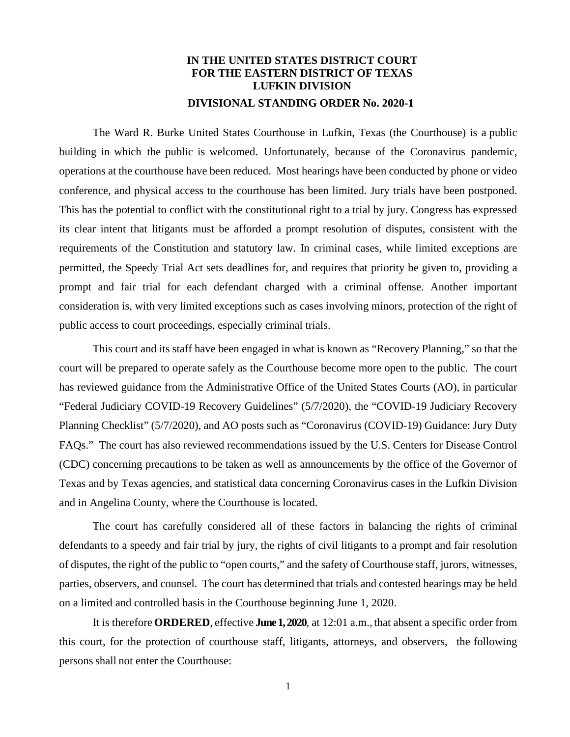## **IN THE UNITED STATES DISTRICT COURT FOR THE EASTERN DISTRICT OF TEXAS LUFKIN DIVISION DIVISIONAL STANDING ORDER No. 2020-1**

The Ward R. Burke United States Courthouse in Lufkin, Texas (the Courthouse) is a public building in which the public is welcomed. Unfortunately, because of the Coronavirus pandemic, operations at the courthouse have been reduced. Most hearings have been conducted by phone or video conference, and physical access to the courthouse has been limited. Jury trials have been postponed. This has the potential to conflict with the constitutional right to a trial by jury. Congress has expressed its clear intent that litigants must be afforded a prompt resolution of disputes, consistent with the requirements of the Constitution and statutory law. In criminal cases, while limited exceptions are permitted, the Speedy Trial Act sets deadlines for, and requires that priority be given to, providing a prompt and fair trial for each defendant charged with a criminal offense. Another important consideration is, with very limited exceptions such as cases involving minors, protection of the right of public access to court proceedings, especially criminal trials.

This court and its staff have been engaged in what is known as "Recovery Planning," so that the court will be prepared to operate safely as the Courthouse become more open to the public. The court has reviewed guidance from the Administrative Office of the United States Courts (AO), in particular "Federal Judiciary COVID-19 Recovery Guidelines" (5/7/2020), the "COVID-19 Judiciary Recovery Planning Checklist" (5/7/2020), and AO posts such as "Coronavirus (COVID-19) Guidance: Jury Duty FAQs." The court has also reviewed recommendations issued by the U.S. Centers for Disease Control (CDC) concerning precautions to be taken as well as announcements by the office of the Governor of Texas and by Texas agencies, and statistical data concerning Coronavirus cases in the Lufkin Division and in Angelina County, where the Courthouse is located.

The court has carefully considered all of these factors in balancing the rights of criminal defendants to a speedy and fair trial by jury, the rights of civil litigants to a prompt and fair resolution of disputes, the right of the public to "open courts," and the safety of Courthouse staff, jurors, witnesses, parties, observers, and counsel. The court has determined that trials and contested hearings may be held on a limited and controlled basis in the Courthouse beginning June 1, 2020.

It is therefore **ORDERED**, effective **June 1, 2020**, at 12:01 a.m., that absent a specific order from this court, for the protection of courthouse staff, litigants, attorneys, and observers, the following persons shall not enter the Courthouse: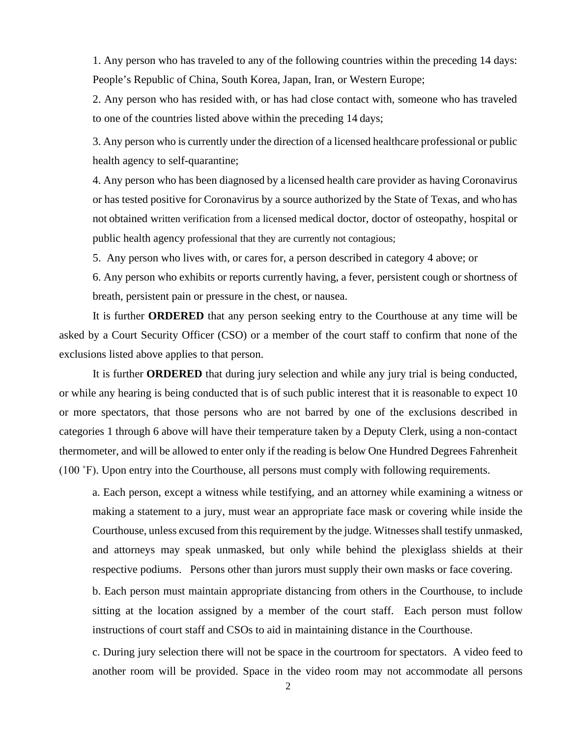1. Any person who has traveled to any of the following countries within the preceding 14 days: People's Republic of China, South Korea, Japan, Iran, or Western Europe;

2. Any person who has resided with, or has had close contact with, someone who has traveled to one of the countries listed above within the preceding 14 days;

3. Any person who is currently under the direction of a licensed healthcare professional or public health agency to self-quarantine;

4. Any person who has been diagnosed by a licensed health care provider as having Coronavirus or has tested positive for Coronavirus by a source authorized by the State of Texas, and who has not obtained written verification from a licensed medical doctor, doctor of osteopathy, hospital or public health agency professional that they are currently not contagious;

5. Any person who lives with, or cares for, a person described in category 4 above; or

6. Any person who exhibits or reports currently having, a fever, persistent cough or shortness of breath, persistent pain or pressure in the chest, or nausea.

It is further **ORDERED** that any person seeking entry to the Courthouse at any time will be asked by a Court Security Officer (CSO) or a member of the court staff to confirm that none of the exclusions listed above applies to that person.

It is further **ORDERED** that during jury selection and while any jury trial is being conducted, or while any hearing is being conducted that is of such public interest that it is reasonable to expect 10 or more spectators, that those persons who are not barred by one of the exclusions described in categories 1 through 6 above will have their temperature taken by a Deputy Clerk, using a non-contact thermometer, and will be allowed to enter only if the reading is below One Hundred Degrees Fahrenheit (100 ˚F). Upon entry into the Courthouse, all persons must comply with following requirements.

a. Each person, except a witness while testifying, and an attorney while examining a witness or making a statement to a jury, must wear an appropriate face mask or covering while inside the Courthouse, unless excused from this requirement by the judge. Witnesses shall testify unmasked, and attorneys may speak unmasked, but only while behind the plexiglass shields at their respective podiums. Persons other than jurors must supply their own masks or face covering.

b. Each person must maintain appropriate distancing from others in the Courthouse, to include sitting at the location assigned by a member of the court staff. Each person must follow instructions of court staff and CSOs to aid in maintaining distance in the Courthouse.

c. During jury selection there will not be space in the courtroom for spectators. A video feed to another room will be provided. Space in the video room may not accommodate all persons